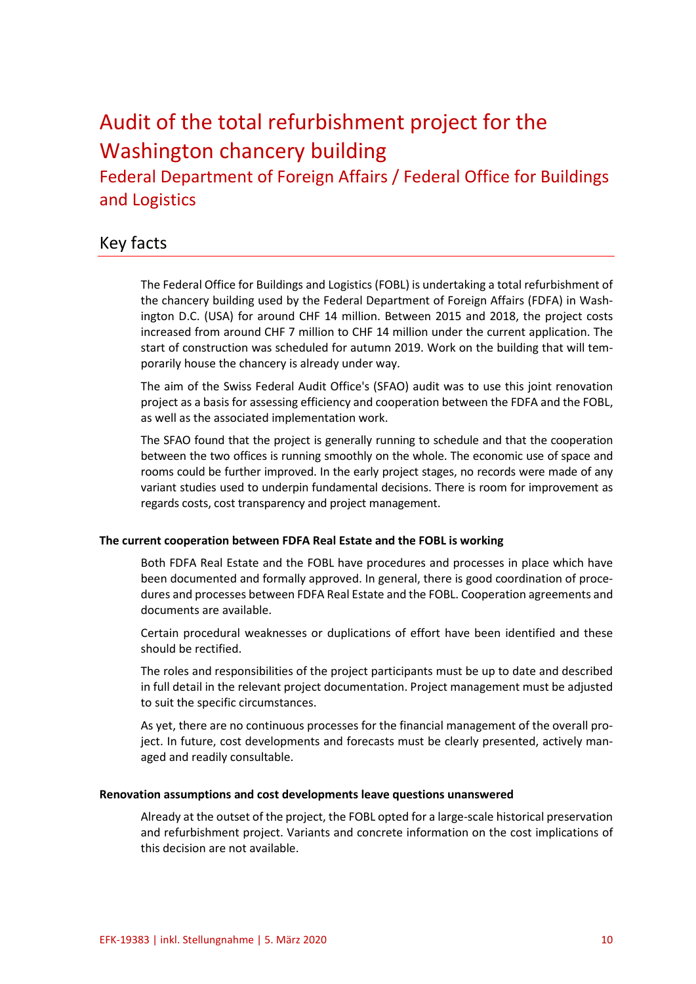# Audit of the total refurbishment project for the Washington chancery building

Federal Department of Foreign Affairs / Federal Office for Buildings and Logistics

# Key facts

The Federal Office for Buildings and Logistics (FOBL) is undertaking a total refurbishment of the chancery building used by the Federal Department of Foreign Affairs (FDFA) in Washington D.C. (USA) for around CHF 14 million. Between 2015 and 2018, the project costs increased from around CHF 7 million to CHF 14 million under the current application. The start of construction was scheduled for autumn 2019. Work on the building that will temporarily house the chancery is already under way.

The aim of the Swiss Federal Audit Office's (SFAO) audit was to use this joint renovation project as a basis for assessing efficiency and cooperation between the FDFA and the FOBL, as well as the associated implementation work.

The SFAO found that the project is generally running to schedule and that the cooperation between the two offices is running smoothly on the whole. The economic use of space and rooms could be further improved. In the early project stages, no records were made of any variant studies used to underpin fundamental decisions. There is room for improvement as regards costs, cost transparency and project management.

## **The current cooperation between FDFA Real Estate and the FOBL is working**

Both FDFA Real Estate and the FOBL have procedures and processes in place which have been documented and formally approved. In general, there is good coordination of procedures and processes between FDFA Real Estate and the FOBL. Cooperation agreements and documents are available.

Certain procedural weaknesses or duplications of effort have been identified and these should be rectified.

The roles and responsibilities of the project participants must be up to date and described in full detail in the relevant project documentation. Project management must be adjusted to suit the specific circumstances.

As yet, there are no continuous processes for the financial management of the overall project. In future, cost developments and forecasts must be clearly presented, actively managed and readily consultable.

#### **Renovation assumptions and cost developments leave questions unanswered**

Already at the outset of the project, the FOBL opted for a large-scale historical preservation and refurbishment project. Variants and concrete information on the cost implications of this decision are not available.